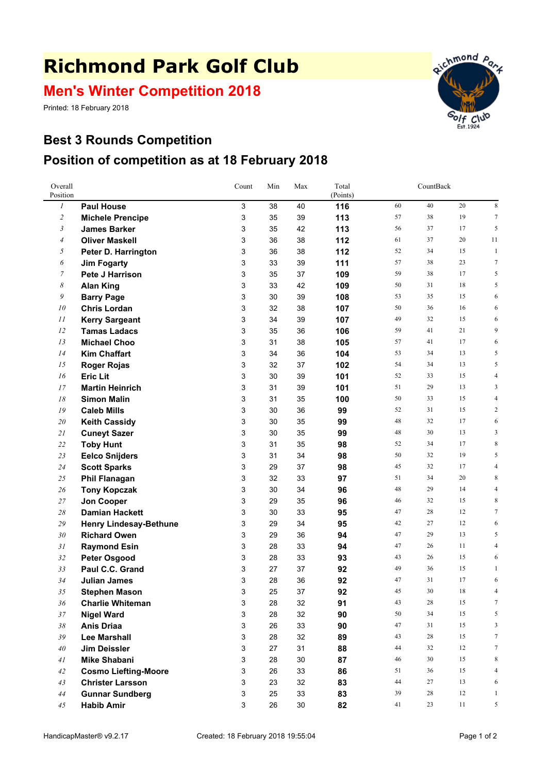## **Richmond Park Golf Club**

## **Men's Winter Competition 2018**

Printed: 18 February 2018



## **Best 3 Rounds Competition Position of competition as at 18 February 2018**

| Overall<br>Position |                                        | Count  | Min      | Max      | Total<br>(Points) | CountBack |          |          |                  |
|---------------------|----------------------------------------|--------|----------|----------|-------------------|-----------|----------|----------|------------------|
| $\boldsymbol{l}$    | <b>Paul House</b>                      | 3      | 38       | 40       | 116               | 60        | 40       | 20       | 8                |
| $\overline{c}$      | <b>Michele Prencipe</b>                | 3      | 35       | 39       | 113               | 57        | 38       | 19       | 7                |
| 3                   | <b>James Barker</b>                    | 3      | 35       | 42       | 113               | 56        | 37       | 17       | 5                |
| $\overline{4}$      | <b>Oliver Maskell</b>                  | 3      | 36       | 38       | 112               | 61        | 37       | 20       | 11               |
| 5                   | Peter D. Harrington                    | 3      | 36       | 38       | 112               | 52        | 34       | 15       | $\mathbf{1}$     |
| 6                   | <b>Jim Fogarty</b>                     | 3      | 33       | 39       | 111               | 57        | 38       | 23       | $\boldsymbol{7}$ |
| $\overline{7}$      | Pete J Harrison                        | 3      | 35       | 37       | 109               | 59        | 38       | 17       | 5                |
| 8                   | <b>Alan King</b>                       | 3      | 33       | 42       | 109               | 50        | 31       | 18       | 5                |
| 9                   | <b>Barry Page</b>                      | 3      | 30       | 39       | 108               | 53        | 35       | 15       | 6                |
| 10                  | <b>Chris Lordan</b>                    | 3      | 32       | 38       | 107               | 50        | 36       | 16       | 6                |
| 11                  | <b>Kerry Sargeant</b>                  | 3      | 34       | 39       | 107               | 49        | 32       | 15       | 6                |
| 12                  | <b>Tamas Ladacs</b>                    | 3      | 35       | 36       | 106               | 59        | 41       | 21       | 9                |
| 13                  | <b>Michael Choo</b>                    | 3      | 31       | 38       | 105               | 57        | 41       | 17       | 6                |
| 14                  | <b>Kim Chaffart</b>                    | 3      | 34       | 36       | 104               | 53        | 34       | 13       | 5                |
| 15                  | <b>Roger Rojas</b>                     | 3      | 32       | 37       | 102               | 54        | 34       | 13       | 5                |
| 16                  | <b>Eric Lit</b>                        | 3      | 30       | 39       | 101               | 52        | 33       | 15       | 4                |
| 17                  | <b>Martin Heinrich</b>                 | 3      | 31       | 39       | 101               | 51        | 29       | 13       | 3                |
| 18                  | <b>Simon Malin</b>                     | 3      | 31       | 35       | 100               | 50        | 33       | 15       | 4                |
| 19                  | <b>Caleb Mills</b>                     | 3      | 30       | 36       | 99                | 52        | 31       | 15       | 2                |
| 20                  | <b>Keith Cassidy</b>                   | 3      | 30       | 35       | 99                | 48        | 32       | 17       | 6                |
| 21                  | <b>Cuneyt Sazer</b>                    | 3      | 30       | 35       | 99                | 48        | 30       | 13       | 3                |
| 22                  | <b>Toby Hunt</b>                       | 3      | 31       | 35       | 98                | 52        | 34       | 17       | 8                |
| 23                  | <b>Eelco Snijders</b>                  | 3      | 31       | 34       | 98                | 50        | 32       | 19       | 5                |
| 24                  | <b>Scott Sparks</b>                    | 3      | 29       | 37       | 98                | 45        | 32       | 17       | 4                |
| 25                  | <b>Phil Flanagan</b>                   | 3      | 32       | 33       | 97                | 51        | 34       | 20       | 8                |
| 26                  | <b>Tony Kopczak</b>                    | 3      | 30       | 34       | 96                | 48        | 29       | 14       | 4                |
| 27                  | <b>Jon Cooper</b>                      | 3      | 29       | 35       | 96                | 46        | 32       | 15       | 8                |
| $28\,$              | <b>Damian Hackett</b>                  | 3      | 30       | 33       | 95                | 47        | 28       | 12       | $\tau$           |
| 29                  | <b>Henry Lindesay-Bethune</b>          | 3      | 29       | 34       | 95                | 42        | 27       | 12       | 6                |
| 30                  | <b>Richard Owen</b>                    | 3      | 29       | 36       | 94                | 47        | 29       | 13<br>11 | 5                |
| 31                  | <b>Raymond Esin</b>                    | 3      | 28       | 33       | 94                | 47<br>43  | 26<br>26 | 15       | 4<br>6           |
| 32<br>33            | <b>Peter Osgood</b><br>Paul C.C. Grand | 3<br>3 | 28<br>27 | 33<br>37 | 93<br>92          | 49        | 36       | 15       | 1                |
| 34                  | <b>Julian James</b>                    | 3      | 28       | 36       | 92                | 47        | 31       | 17       | 6                |
| 35                  | <b>Stephen Mason</b>                   | 3      | 25       | 37       | 92                | 45        | 30       | 18       | 4                |
| 36                  | <b>Charlie Whiteman</b>                | 3      | 28       | 32       | 91                | 43        | 28       | 15       | $\tau$           |
| 37                  | <b>Nigel Ward</b>                      | 3      | 28       | 32       | 90                | $50\,$    | 34       | 15       | 5                |
| $38\,$              | <b>Anis Driaa</b>                      | 3      | 26       | 33       | 90                | 47        | 31       | 15       | 3                |
| 39                  | <b>Lee Marshall</b>                    | 3      | 28       | 32       | 89                | 43        | 28       | 15       | $\overline{7}$   |
| 40                  | <b>Jim Deissler</b>                    | 3      | 27       | 31       | 88                | 44        | 32       | 12       | 7                |
| 41                  | <b>Mike Shabani</b>                    | 3      | 28       | 30       | 87                | 46        | 30       | 15       | 8                |
| 42                  | <b>Cosmo Liefting-Moore</b>            | 3      | 26       | 33       | 86                | 51        | 36       | 15       | 4                |
| 43                  | <b>Christer Larsson</b>                | 3      | 23       | 32       | 83                | 44        | 27       | 13       | 6                |
| 44                  | <b>Gunnar Sundberg</b>                 | 3      | 25       | 33       | 83                | 39        | 28       | 12       | $\mathbf{1}$     |
| 45                  | <b>Habib Amir</b>                      | 3      | 26       | 30       | 82                | 41        | 23       | 11       | 5                |
|                     |                                        |        |          |          |                   |           |          |          |                  |